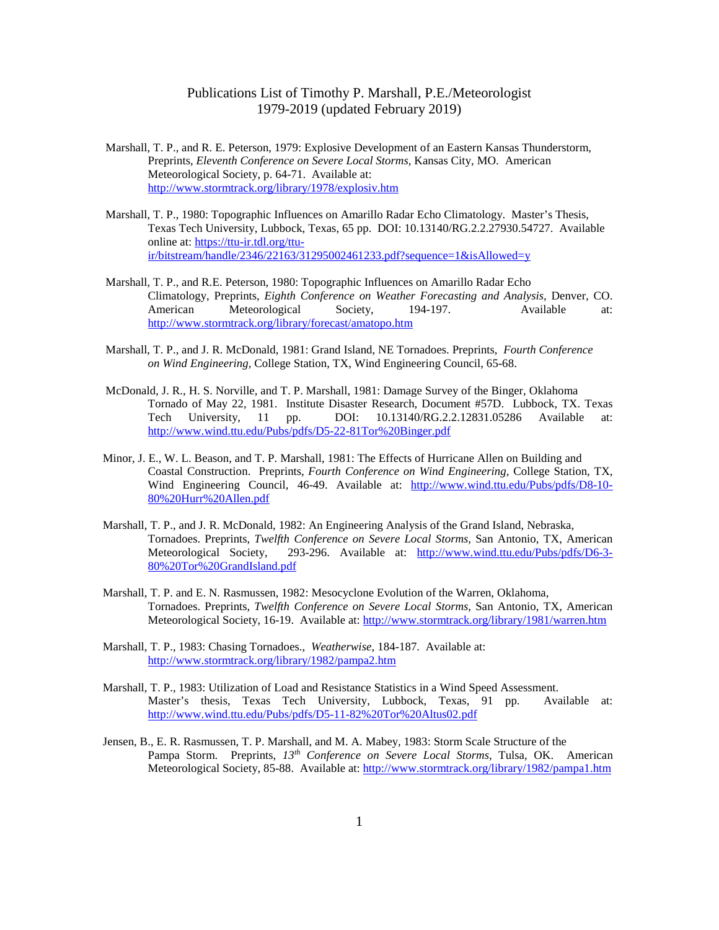- Marshall, T. P., and R. E. Peterson, 1979: Explosive Development of an Eastern Kansas Thunderstorm, Preprints, *Eleventh Conference on Severe Local Storms,* Kansas City, MO. American Meteorological Society, p. 64-71. Available at: <http://www.stormtrack.org/library/1978/explosiv.htm>
- Marshall, T. P., 1980: Topographic Influences on Amarillo Radar Echo Climatology. Master's Thesis, Texas Tech University, Lubbock, Texas, 65 pp. DOI: 10.13140/RG.2.2.27930.54727. Available online at: [https://ttu-ir.tdl.org/ttu](https://ttu-ir.tdl.org/ttu-ir/bitstream/handle/2346/22163/31295002461233.pdf?sequence=1&isAllowed=y)[ir/bitstream/handle/2346/22163/31295002461233.pdf?sequence=1&isAllowed=y](https://ttu-ir.tdl.org/ttu-ir/bitstream/handle/2346/22163/31295002461233.pdf?sequence=1&isAllowed=y)
- Marshall, T. P., and R.E. Peterson, 1980: Topographic Influences on Amarillo Radar Echo Climatology, Preprints, *Eighth Conference on Weather Forecasting and Analysis,* Denver, CO. American Meteorological Society, 194-197. Available at: <http://www.stormtrack.org/library/forecast/amatopo.htm>
- Marshall, T. P., and J. R. McDonald, 1981: Grand Island, NE Tornadoes. Preprints, *Fourth Conference on Wind Engineering,* College Station, TX, Wind Engineering Council, 65-68.
- McDonald, J. R., H. S. Norville, and T. P. Marshall, 1981: Damage Survey of the Binger, Oklahoma Tornado of May 22, 1981. Institute Disaster Research, Document #57D. Lubbock, TX. Texas Tech University, 11 pp. DOI: 10.13140/RG.2.2.12831.05286 Available at: <http://www.wind.ttu.edu/Pubs/pdfs/D5-22-81Tor%20Binger.pdf>
- Minor, J. E., W. L. Beason, and T. P. Marshall, 1981: The Effects of Hurricane Allen on Building and Coastal Construction. Preprints, *Fourth Conference on Wind Engineering,* College Station, TX, Wind Engineering Council, 46-49. Available at: [http://www.wind.ttu.edu/Pubs/pdfs/D8-10-](http://www.wind.ttu.edu/Pubs/pdfs/D8-10-80%20Hurr%20Allen.pdf) [80%20Hurr%20Allen.pdf](http://www.wind.ttu.edu/Pubs/pdfs/D8-10-80%20Hurr%20Allen.pdf)
- Marshall, T. P., and J. R. McDonald, 1982: An Engineering Analysis of the Grand Island, Nebraska, Tornadoes. Preprints, *Twelfth Conference on Severe Local Storms,* San Antonio, TX, American Meteorological Society, 293-296. Available at: [http://www.wind.ttu.edu/Pubs/pdfs/D6-3-](http://www.wind.ttu.edu/Pubs/pdfs/D6-3-80%20Tor%20GrandIsland.pdf) [80%20Tor%20GrandIsland.pdf](http://www.wind.ttu.edu/Pubs/pdfs/D6-3-80%20Tor%20GrandIsland.pdf)
- Marshall, T. P. and E. N. Rasmussen, 1982: Mesocyclone Evolution of the Warren, Oklahoma, Tornadoes. Preprints, *Twelfth Conference on Severe Local Storms,* San Antonio, TX, American Meteorological Society, 16-19. Available at:<http://www.stormtrack.org/library/1981/warren.htm>
- Marshall, T. P., 1983: Chasing Tornadoes., *Weatherwise*, 184-187. Available at: <http://www.stormtrack.org/library/1982/pampa2.htm>
- Marshall, T. P., 1983: Utilization of Load and Resistance Statistics in a Wind Speed Assessment. Master's thesis, Texas Tech University, Lubbock, Texas, 91 pp. Available at: <http://www.wind.ttu.edu/Pubs/pdfs/D5-11-82%20Tor%20Altus02.pdf>
- Jensen, B., E. R. Rasmussen, T. P. Marshall, and M. A. Mabey, 1983: Storm Scale Structure of the Pampa Storm. Preprints, *13th Conference on Severe Local Storms,* Tulsa, OK. American Meteorological Society, 85-88. Available at:<http://www.stormtrack.org/library/1982/pampa1.htm>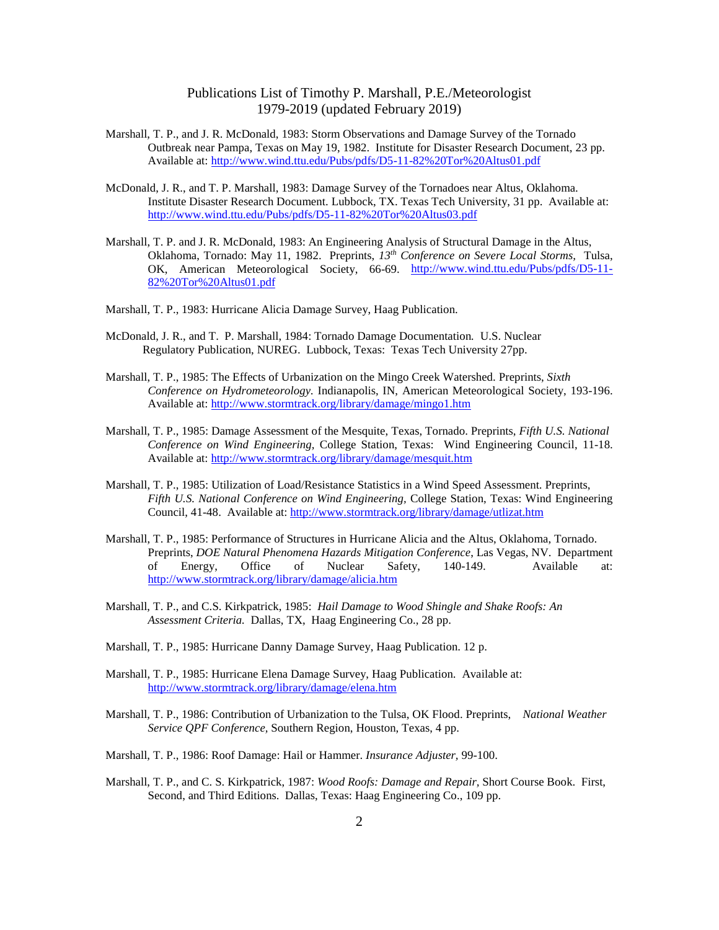- Marshall, T. P., and J. R. McDonald, 1983: Storm Observations and Damage Survey of the Tornado Outbreak near Pampa, Texas on May 19, 1982. Institute for Disaster Research Document, 23 pp. Available at:<http://www.wind.ttu.edu/Pubs/pdfs/D5-11-82%20Tor%20Altus01.pdf>
- McDonald, J. R., and T. P. Marshall, 1983: Damage Survey of the Tornadoes near Altus, Oklahoma. Institute Disaster Research Document. Lubbock, TX. Texas Tech University, 31 pp. Available at: <http://www.wind.ttu.edu/Pubs/pdfs/D5-11-82%20Tor%20Altus03.pdf>
- Marshall, T. P. and J. R. McDonald, 1983: An Engineering Analysis of Structural Damage in the Altus, Oklahoma, Tornado: May 11, 1982. Preprints, *13th Conference on Severe Local Storms,* Tulsa, OK, American Meteorological Society, 66-69. [http://www.wind.ttu.edu/Pubs/pdfs/D5-11-](http://www.wind.ttu.edu/Pubs/pdfs/D5-11-82%20Tor%20Altus01.pdf) [82%20Tor%20Altus01.pdf](http://www.wind.ttu.edu/Pubs/pdfs/D5-11-82%20Tor%20Altus01.pdf)
- Marshall, T. P., 1983: Hurricane Alicia Damage Survey, Haag Publication.
- McDonald, J. R., and T. P. Marshall, 1984: Tornado Damage Documentation*.* U.S. Nuclear Regulatory Publication, NUREG. Lubbock, Texas: Texas Tech University 27pp.
- Marshall, T. P., 1985: The Effects of Urbanization on the Mingo Creek Watershed. Preprints, *Sixth Conference on Hydrometeorology.* Indianapolis, IN, American Meteorological Society, 193-196. Available at:<http://www.stormtrack.org/library/damage/mingo1.htm>
- Marshall, T. P., 1985: Damage Assessment of the Mesquite, Texas, Tornado. Preprints, *Fifth U.S. National Conference on Wind Engineering,* College Station, Texas: Wind Engineering Council, 11-18. Available at:<http://www.stormtrack.org/library/damage/mesquit.htm>
- Marshall, T. P., 1985: Utilization of Load/Resistance Statistics in a Wind Speed Assessment. Preprints, *Fifth U.S. National Conference on Wind Engineering,* College Station, Texas: Wind Engineering Council, 41-48. Available at:<http://www.stormtrack.org/library/damage/utlizat.htm>
- Marshall, T. P., 1985: Performance of Structures in Hurricane Alicia and the Altus, Oklahoma, Tornado. Preprints, *DOE Natural Phenomena Hazards Mitigation Conference*, Las Vegas, NV. Department of Energy, Office of Nuclear Safety, 140-149. Available at: <http://www.stormtrack.org/library/damage/alicia.htm>
- Marshall, T. P., and C.S. Kirkpatrick, 1985: *Hail Damage to Wood Shingle and Shake Roofs: An Assessment Criteria.* Dallas, TX, Haag Engineering Co., 28 pp.
- Marshall, T. P., 1985: Hurricane Danny Damage Survey, Haag Publication. 12 p.
- Marshall, T. P., 1985: Hurricane Elena Damage Survey, Haag Publication. Available at: <http://www.stormtrack.org/library/damage/elena.htm>
- Marshall, T. P., 1986: Contribution of Urbanization to the Tulsa, OK Flood. Preprints, *National Weather Service QPF Conference,* Southern Region, Houston, Texas, 4 pp.
- Marshall, T. P., 1986: Roof Damage: Hail or Hammer. *Insurance Adjuster,* 99-100.
- Marshall, T. P., and C. S. Kirkpatrick, 1987: *Wood Roofs: Damage and Repair,* Short Course Book. First, Second, and Third Editions. Dallas, Texas: Haag Engineering Co., 109 pp.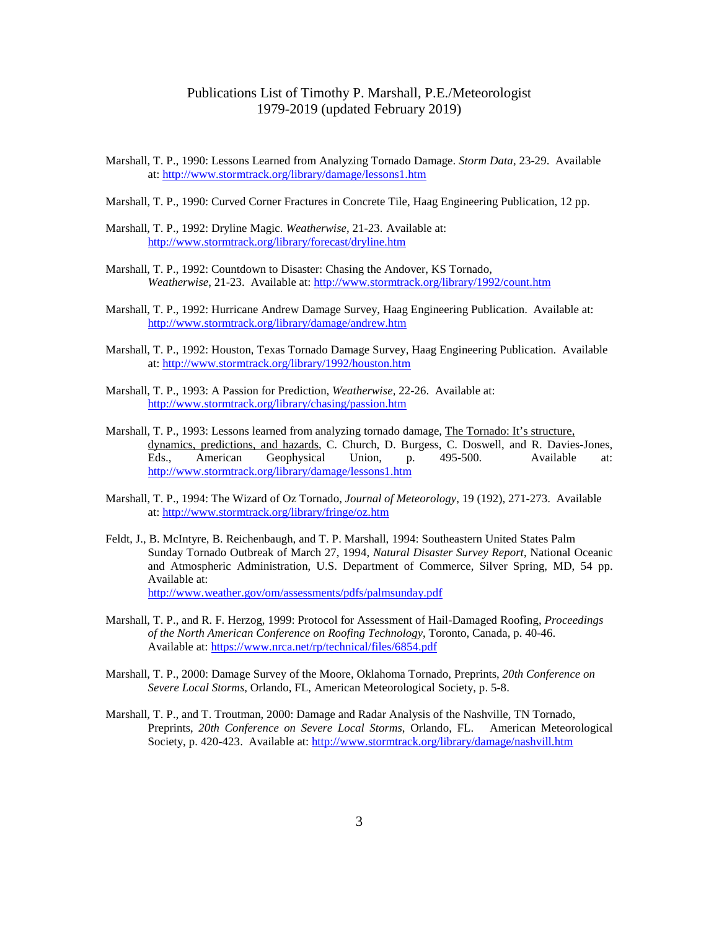- Marshall, T. P., 1990: Lessons Learned from Analyzing Tornado Damage. *Storm Data,* 23-29. Available at:<http://www.stormtrack.org/library/damage/lessons1.htm>
- Marshall, T. P., 1990: Curved Corner Fractures in Concrete Tile, Haag Engineering Publication, 12 pp.
- Marshall, T. P., 1992: Dryline Magic. *Weatherwise*, 21-23. Available at: <http://www.stormtrack.org/library/forecast/dryline.htm>
- Marshall, T. P., 1992: Countdown to Disaster: Chasing the Andover, KS Tornado, *Weatherwise*, 21-23. Available at:<http://www.stormtrack.org/library/1992/count.htm>
- Marshall, T. P., 1992: Hurricane Andrew Damage Survey, Haag Engineering Publication. Available at: <http://www.stormtrack.org/library/damage/andrew.htm>
- Marshall, T. P., 1992: Houston, Texas Tornado Damage Survey, Haag Engineering Publication. Available at:<http://www.stormtrack.org/library/1992/houston.htm>
- Marshall, T. P., 1993: A Passion for Prediction, *Weatherwise,* 22-26. Available at: <http://www.stormtrack.org/library/chasing/passion.htm>
- Marshall, T. P., 1993: Lessons learned from analyzing tornado damage, The Tornado: It's structure, dynamics, predictions, and hazards, C. Church, D. Burgess, C. Doswell, and R. Davies-Jones, Eds., American Geophysical Union, p. 495-500. Available at: <http://www.stormtrack.org/library/damage/lessons1.htm>
- Marshall, T. P., 1994: The Wizard of Oz Tornado, *Journal of Meteorology*, 19 (192), 271-273. Available at:<http://www.stormtrack.org/library/fringe/oz.htm>
- Feldt, J., B. McIntyre, B. Reichenbaugh, and T. P. Marshall, 1994: Southeastern United States Palm Sunday Tornado Outbreak of March 27, 1994, *Natural Disaster Survey Report*, National Oceanic and Atmospheric Administration, U.S. Department of Commerce, Silver Spring, MD, 54 pp. Available at: <http://www.weather.gov/om/assessments/pdfs/palmsunday.pdf>
- Marshall, T. P., and R. F. Herzog, 1999: Protocol for Assessment of Hail-Damaged Roofing, *Proceedings of the North American Conference on Roofing Technology*, Toronto, Canada, p. 40-46. Available at:<https://www.nrca.net/rp/technical/files/6854.pdf>
- Marshall, T. P., 2000: Damage Survey of the Moore, Oklahoma Tornado, Preprints, *20th Conference on Severe Local Storms*, Orlando, FL, American Meteorological Society, p. 5-8.
- Marshall, T. P., and T. Troutman, 2000: Damage and Radar Analysis of the Nashville, TN Tornado, Preprints, *20th Conference on Severe Local Storms*, Orlando, FL. American Meteorological Society, p. 420-423. Available at[: http://www.stormtrack.org/library/damage/nashvill.htm](http://www.stormtrack.org/library/damage/nashvill.htm)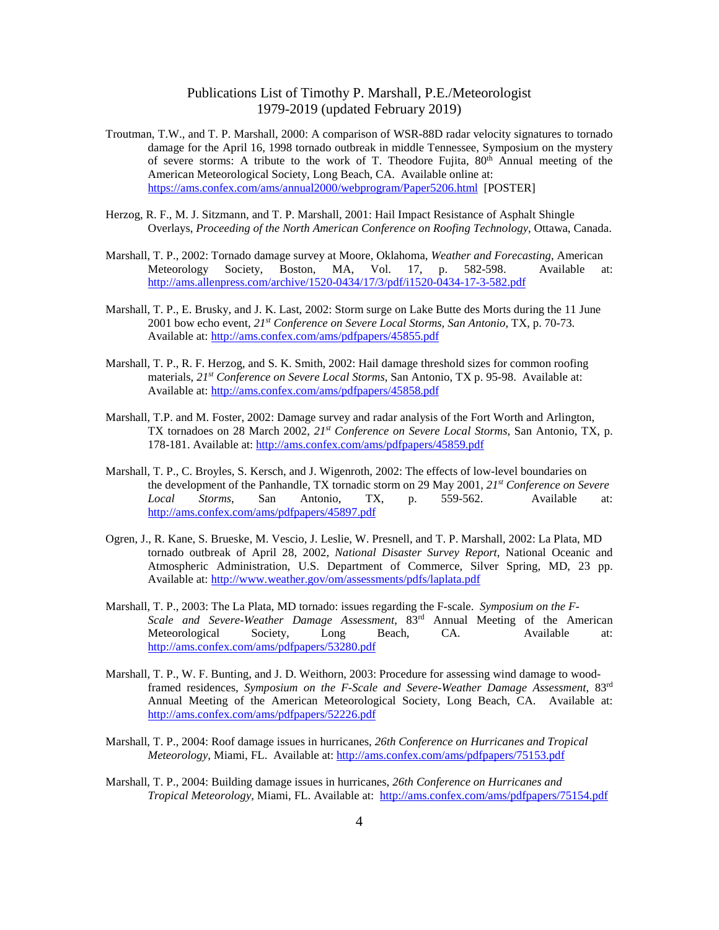- Troutman, T.W., and T. P. Marshall, 2000: A comparison of WSR-88D radar velocity signatures to tornado damage for the April 16, 1998 tornado outbreak in middle Tennessee, Symposium on the mystery of severe storms: A tribute to the work of T. Theodore Fujita,  $80<sup>th</sup>$  Annual meeting of the American Meteorological Society, Long Beach, CA. Available online at: <https://ams.confex.com/ams/annual2000/webprogram/Paper5206.html>[POSTER]
- Herzog, R. F., M. J. Sitzmann, and T. P. Marshall, 2001: Hail Impact Resistance of Asphalt Shingle Overlays, *Proceeding of the North American Conference on Roofing Technology*, Ottawa, Canada.
- Marshall, T. P., 2002: Tornado damage survey at Moore, Oklahoma, *Weather and Forecasting*, American Meteorology Society, Boston, MA, Vol. 17, p. 582-598. Available at: <http://ams.allenpress.com/archive/1520-0434/17/3/pdf/i1520-0434-17-3-582.pdf>
- Marshall, T. P., E. Brusky, and J. K. Last, 2002: Storm surge on Lake Butte des Morts during the 11 June 2001 bow echo event, *21st Conference on Severe Local Storms, San Antonio*, TX, p. 70-73. Available at:<http://ams.confex.com/ams/pdfpapers/45855.pdf>
- Marshall, T. P., R. F. Herzog, and S. K. Smith, 2002: Hail damage threshold sizes for common roofing materials, *21st Conference on Severe Local Storms*, San Antonio, TX p. 95-98. Available at: Available at:<http://ams.confex.com/ams/pdfpapers/45858.pdf>
- Marshall, T.P. and M. Foster, 2002: Damage survey and radar analysis of the Fort Worth and Arlington, TX tornadoes on 28 March 2002, *21st Conference on Severe Local Storms*, San Antonio, TX, p. 178-181. Available at:<http://ams.confex.com/ams/pdfpapers/45859.pdf>
- Marshall, T. P., C. Broyles, S. Kersch, and J. Wigenroth, 2002: The effects of low-level boundaries on the development of the Panhandle, TX tornadic storm on 29 May 2001, *21st Conference on Severe Local Storms*, San Antonio, TX, p. 559-562. Available at: <http://ams.confex.com/ams/pdfpapers/45897.pdf>
- Ogren, J., R. Kane, S. Brueske, M. Vescio, J. Leslie, W. Presnell, and T. P. Marshall, 2002: La Plata, MD tornado outbreak of April 28, 2002, *National Disaster Survey Report*, National Oceanic and Atmospheric Administration, U.S. Department of Commerce, Silver Spring, MD, 23 pp. Available at:<http://www.weather.gov/om/assessments/pdfs/laplata.pdf>
- Marshall, T. P., 2003: The La Plata, MD tornado: issues regarding the F-scale. *Symposium on the F-Scale and Severe-Weather Damage Assessment*, 83rd Annual Meeting of the American Meteorological Society, Long Beach, CA. Available at: <http://ams.confex.com/ams/pdfpapers/53280.pdf>
- Marshall, T. P., W. F. Bunting, and J. D. Weithorn, 2003: Procedure for assessing wind damage to woodframed residences, *Symposium on the F-Scale and Severe-Weather Damage Assessment*, 83rd Annual Meeting of the American Meteorological Society, Long Beach, CA. Available at: <http://ams.confex.com/ams/pdfpapers/52226.pdf>
- Marshall, T. P., 2004: Roof damage issues in hurricanes, *26th Conference on Hurricanes and Tropical Meteorology,* Miami, FL. Available at:<http://ams.confex.com/ams/pdfpapers/75153.pdf>
- Marshall, T. P., 2004: Building damage issues in hurricanes, *26th Conference on Hurricanes and Tropical Meteorology*, Miami, FL. Available at:<http://ams.confex.com/ams/pdfpapers/75154.pdf>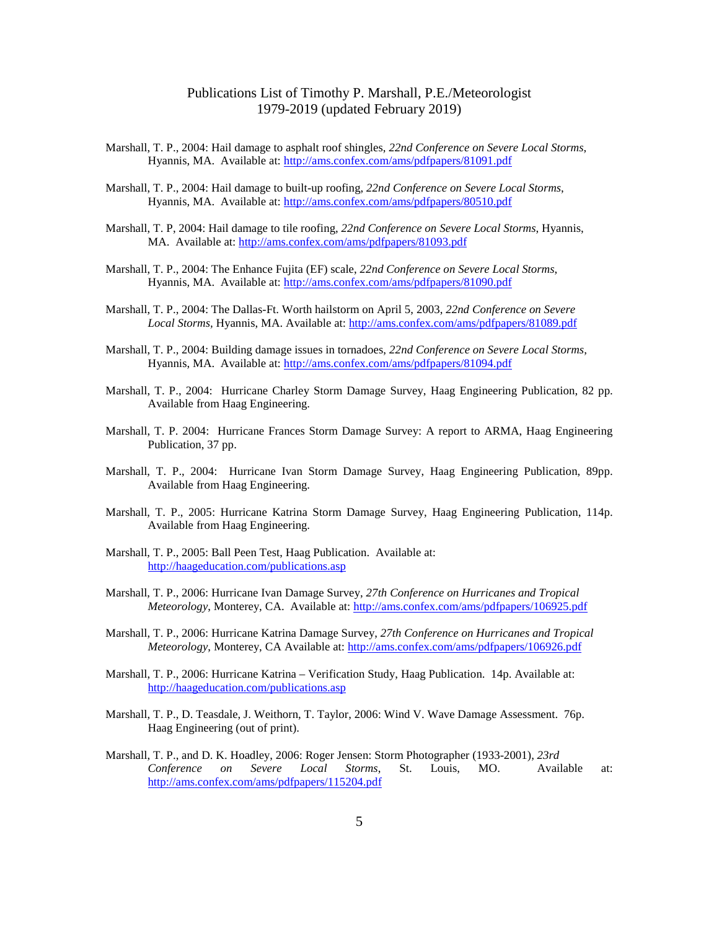- Marshall, T. P., 2004: Hail damage to asphalt roof shingles, *22nd Conference on Severe Local Storms*, Hyannis, MA. Available at:<http://ams.confex.com/ams/pdfpapers/81091.pdf>
- Marshall, T. P., 2004: Hail damage to built-up roofing, *22nd Conference on Severe Local Storms*, Hyannis, MA. Available at:<http://ams.confex.com/ams/pdfpapers/80510.pdf>
- Marshall, T. P, 2004: Hail damage to tile roofing, *22nd Conference on Severe Local Storms*, Hyannis, MA. Available at:<http://ams.confex.com/ams/pdfpapers/81093.pdf>
- Marshall, T. P., 2004: The Enhance Fujita (EF) scale, *22nd Conference on Severe Local Storms*, Hyannis, MA. Available at:<http://ams.confex.com/ams/pdfpapers/81090.pdf>
- Marshall, T. P., 2004: The Dallas-Ft. Worth hailstorm on April 5, 2003, *22nd Conference on Severe Local Storms,* Hyannis, MA. Available at:<http://ams.confex.com/ams/pdfpapers/81089.pdf>
- Marshall, T. P., 2004: Building damage issues in tornadoes, *22nd Conference on Severe Local Storms*, Hyannis, MA. Available at:<http://ams.confex.com/ams/pdfpapers/81094.pdf>
- Marshall, T. P., 2004: Hurricane Charley Storm Damage Survey, Haag Engineering Publication, 82 pp. Available from Haag Engineering.
- Marshall, T. P. 2004: Hurricane Frances Storm Damage Survey: A report to ARMA, Haag Engineering Publication, 37 pp.
- Marshall, T. P., 2004: Hurricane Ivan Storm Damage Survey, Haag Engineering Publication, 89pp. Available from Haag Engineering.
- Marshall, T. P., 2005: Hurricane Katrina Storm Damage Survey, Haag Engineering Publication, 114p. Available from Haag Engineering.
- Marshall, T. P., 2005: Ball Peen Test, Haag Publication. Available at: <http://haageducation.com/publications.asp>
- Marshall, T. P., 2006: Hurricane Ivan Damage Survey, *27th Conference on Hurricanes and Tropical Meteorology*, Monterey, CA. Available at:<http://ams.confex.com/ams/pdfpapers/106925.pdf>
- Marshall, T. P., 2006: Hurricane Katrina Damage Survey, *27th Conference on Hurricanes and Tropical Meteorology*, Monterey, CA Available at:<http://ams.confex.com/ams/pdfpapers/106926.pdf>
- Marshall, T. P., 2006: Hurricane Katrina Verification Study, Haag Publication. 14p. Available at: <http://haageducation.com/publications.asp>
- Marshall, T. P., D. Teasdale, J. Weithorn, T. Taylor, 2006: Wind V. Wave Damage Assessment. 76p. Haag Engineering (out of print).
- Marshall, T. P., and D. K. Hoadley, 2006: Roger Jensen: Storm Photographer (1933-2001), *23rd Conference on Severe Local Storms*, St. Louis, MO. Available at: <http://ams.confex.com/ams/pdfpapers/115204.pdf>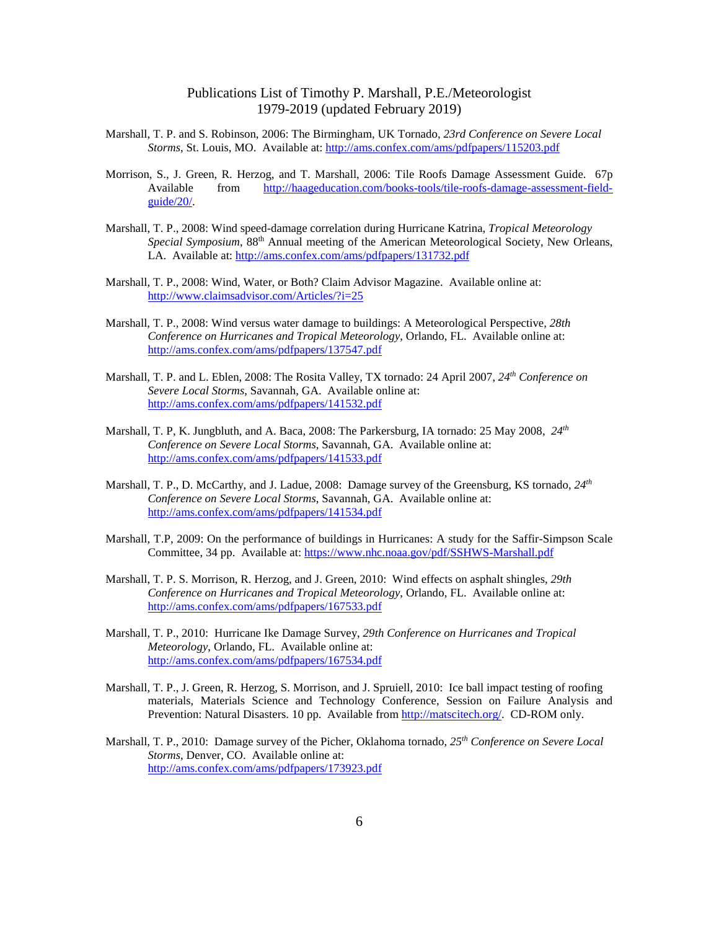- Marshall, T. P. and S. Robinson, 2006: The Birmingham, UK Tornado, *23rd Conference on Severe Local Storms*, St. Louis, MO. Available at:<http://ams.confex.com/ams/pdfpapers/115203.pdf>
- Morrison, S., J. Green, R. Herzog, and T. Marshall, 2006: Tile Roofs Damage Assessment Guide. 67p Available from [http://haageducation.com/books-tools/tile-roofs-damage-assessment-field](http://haageducation.com/books-tools/tile-roofs-damage-assessment-field-guide/20/)[guide/20/.](http://haageducation.com/books-tools/tile-roofs-damage-assessment-field-guide/20/)
- Marshall, T. P., 2008: Wind speed-damage correlation during Hurricane Katrina, *Tropical Meteorology Special Symposium*, 88th Annual meeting of the American Meteorological Society, New Orleans, LA. Available at: <http://ams.confex.com/ams/pdfpapers/131732.pdf>
- Marshall, T. P., 2008: Wind, Water, or Both? Claim Advisor Magazine. Available online at: <http://www.claimsadvisor.com/Articles/?i=25>
- Marshall, T. P., 2008: Wind versus water damage to buildings: A Meteorological Perspective, *28th Conference on Hurricanes and Tropical Meteorology*, Orlando, FL. Available online at: <http://ams.confex.com/ams/pdfpapers/137547.pdf>
- Marshall, T. P. and L. Eblen, 2008: The Rosita Valley, TX tornado: 24 April 2007, *24th Conference on Severe Local Storms*, Savannah, GA. Available online at: <http://ams.confex.com/ams/pdfpapers/141532.pdf>
- Marshall, T. P, K. Jungbluth, and A. Baca, 2008: The Parkersburg, IA tornado: 25 May 2008, *24th Conference on Severe Local Storms*, Savannah, GA. Available online at: <http://ams.confex.com/ams/pdfpapers/141533.pdf>
- Marshall, T. P., D. McCarthy, and J. Ladue, 2008: Damage survey of the Greensburg, KS tornado, *24th Conference on Severe Local Storms*, Savannah, GA. Available online at: <http://ams.confex.com/ams/pdfpapers/141534.pdf>
- Marshall, T.P, 2009: On the performance of buildings in Hurricanes: A study for the Saffir-Simpson Scale Committee, 34 pp. Available at:<https://www.nhc.noaa.gov/pdf/SSHWS-Marshall.pdf>
- Marshall, T. P. S. Morrison, R. Herzog, and J. Green, 2010: Wind effects on asphalt shingles, *29th Conference on Hurricanes and Tropical Meteorology*, Orlando, FL. Available online at: <http://ams.confex.com/ams/pdfpapers/167533.pdf>
- Marshall, T. P., 2010: Hurricane Ike Damage Survey, *29th Conference on Hurricanes and Tropical Meteorology*, Orlando, FL. Available online at: [http://ams.confex.com/ams/pdfpapers/167534.pdf](http://ams.confex.com/ams/pdfpapers/167533.pdf)
- Marshall, T. P., J. Green, R. Herzog, S. Morrison, and J. Spruiell, 2010: Ice ball impact testing of roofing materials, Materials Science and Technology Conference, Session on Failure Analysis and Prevention: Natural Disasters. 10 pp. Available from [http://matscitech.org/.](http://matscitech.org/) CD-ROM only.
- Marshall, T. P., 2010: Damage survey of the Picher, Oklahoma tornado, *25th Conference on Severe Local Storms*, Denver, CO. Available online at: <http://ams.confex.com/ams/pdfpapers/173923.pdf>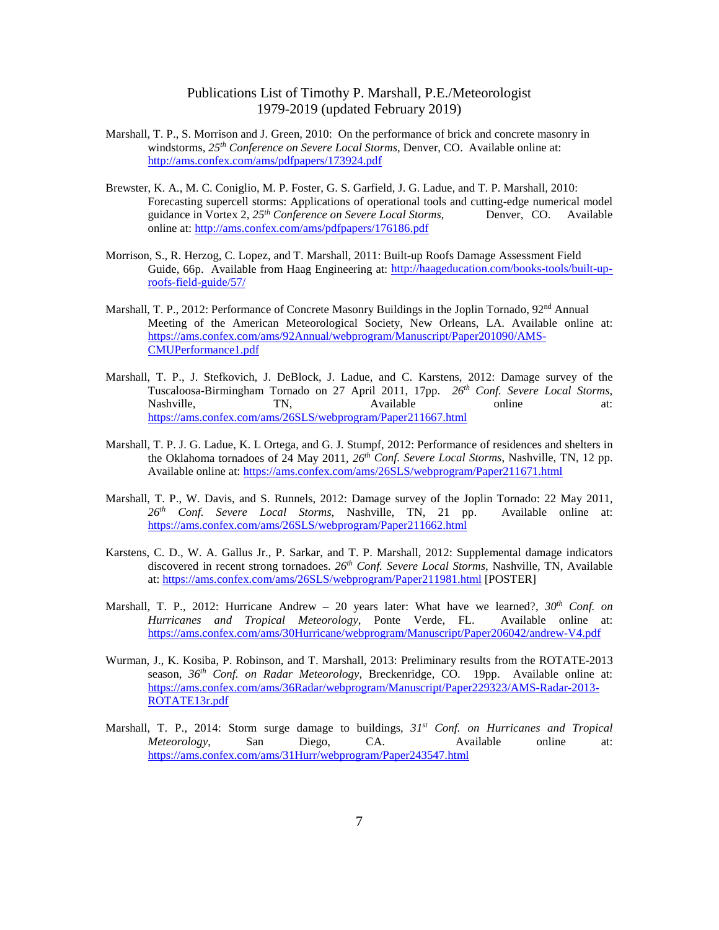- Marshall, T. P., S. Morrison and J. Green, 2010: On the performance of brick and concrete masonry in windstorms, *25th Conference on Severe Local Storms*, Denver, CO. Available online at: <http://ams.confex.com/ams/pdfpapers/173924.pdf>
- Brewster, K. A., M. C. Coniglio, M. P. Foster, G. S. Garfield, J. G. Ladue, and T. P. Marshall, 2010: Forecasting supercell storms: Applications of operational tools and cutting-edge numerical model guidance in Vortex 2.  $25^{th}$  Conference on Severe Local Storms. Denver, CO. Available guidance in Vortex 2, 25<sup>th</sup> Conference on Severe Local Storms, online at:<http://ams.confex.com/ams/pdfpapers/176186.pdf>
- Morrison, S., R. Herzog, C. Lopez, and T. Marshall, 2011: Built-up Roofs Damage Assessment Field Guide, 66p. Available from Haag Engineering at: [http://haageducation.com/books-tools/built-up](http://haageducation.com/books-tools/built-up-roofs-field-guide/57/)[roofs-field-guide/57/](http://haageducation.com/books-tools/built-up-roofs-field-guide/57/)
- Marshall, T. P., 2012: Performance of Concrete Masonry Buildings in the Joplin Tornado, 92<sup>nd</sup> Annual Meeting of the American Meteorological Society, New Orleans, LA. Available online at: [https://ams.confex.com/ams/92Annual/webprogram/Manuscript/Paper201090/AMS-](https://ams.confex.com/ams/92Annual/webprogram/Manuscript/Paper201090/AMS-CMUPerformance1.pdf)[CMUPerformance1.pdf](https://ams.confex.com/ams/92Annual/webprogram/Manuscript/Paper201090/AMS-CMUPerformance1.pdf)
- Marshall, T. P., J. Stefkovich, J. DeBlock, J. Ladue, and C. Karstens, 2012: Damage survey of the Tuscaloosa-Birmingham Tornado on 27 April 2011, 17pp. *26th Conf. Severe Local Storms*, Nashville, TN, Available online at: <https://ams.confex.com/ams/26SLS/webprogram/Paper211667.html>
- Marshall, T. P. J. G. Ladue, K. L Ortega, and G. J. Stumpf, 2012: Performance of residences and shelters in the Oklahoma tornadoes of 24 May 2011, *26th Conf. Severe Local Storms*, Nashville, TN, 12 pp. Available online at:<https://ams.confex.com/ams/26SLS/webprogram/Paper211671.html>
- Marshall, T. P., W. Davis, and S. Runnels, 2012: Damage survey of the Joplin Tornado: 22 May 2011, *26th Conf. Severe Local Storms*, Nashville, TN, 21 pp. Available online at: <https://ams.confex.com/ams/26SLS/webprogram/Paper211662.html>
- Karstens, C. D., W. A. Gallus Jr., P. Sarkar, and T. P. Marshall, 2012: Supplemental damage indicators discovered in recent strong tornadoes. 26<sup>th</sup> Conf. Severe Local Storms, Nashville, TN, Available at:<https://ams.confex.com/ams/26SLS/webprogram/Paper211981.html> [POSTER]
- Marshall, T. P., 2012: Hurricane Andrew 20 years later: What have we learned?, *30th Conf. on Hurricanes and Tropical Meteorology*, Ponte Verde, FL. Available online at: <https://ams.confex.com/ams/30Hurricane/webprogram/Manuscript/Paper206042/andrew-V4.pdf>
- Wurman, J., K. Kosiba, P. Robinson, and T. Marshall, 2013: Preliminary results from the ROTATE-2013 season, *36th Conf. on Radar Meteorology*, Breckenridge, CO. 19pp. Available online at: [https://ams.confex.com/ams/36Radar/webprogram/Manuscript/Paper229323/AMS-Radar-2013-](https://ams.confex.com/ams/36Radar/webprogram/Manuscript/Paper229323/AMS-Radar-2013-ROTATE13r.pdf) [ROTATE13r.pdf](https://ams.confex.com/ams/36Radar/webprogram/Manuscript/Paper229323/AMS-Radar-2013-ROTATE13r.pdf)
- Marshall, T. P., 2014: Storm surge damage to buildings, *31st Conf. on Hurricanes and Tropical Meteorology*, San Diego, CA. Available online at: <https://ams.confex.com/ams/31Hurr/webprogram/Paper243547.html>